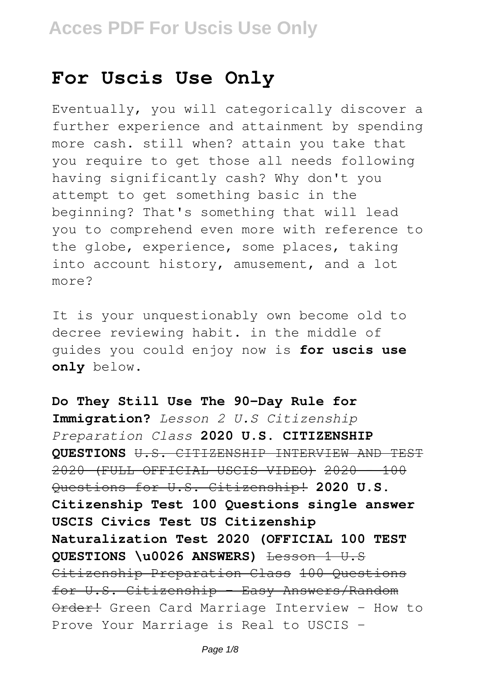## **For Uscis Use Only**

Eventually, you will categorically discover a further experience and attainment by spending more cash. still when? attain you take that you require to get those all needs following having significantly cash? Why don't you attempt to get something basic in the beginning? That's something that will lead you to comprehend even more with reference to the globe, experience, some places, taking into account history, amusement, and a lot more?

It is your unquestionably own become old to decree reviewing habit. in the middle of guides you could enjoy now is **for uscis use only** below.

**Do They Still Use The 90-Day Rule for Immigration?** *Lesson 2 U.S Citizenship Preparation Class* **2020 U.S. CITIZENSHIP QUESTIONS** U.S. CITIZENSHIP INTERVIEW AND TEST 2020 (FULL OFFICIAL USCIS VIDEO) 2020 - 100 Questions for U.S. Citizenship<sup>1</sup> 2020 U.S. **Citizenship Test 100 Questions single answer USCIS Civics Test US Citizenship Naturalization Test 2020 (OFFICIAL 100 TEST** QUESTIONS \u0026 ANSWERS) Lesson 1 U.S Citizenship Preparation Class 100 Questions for U.S. Citizenship - Easy Answers/Random Order! Green Card Marriage Interview - How to Prove Your Marriage is Real to USCIS -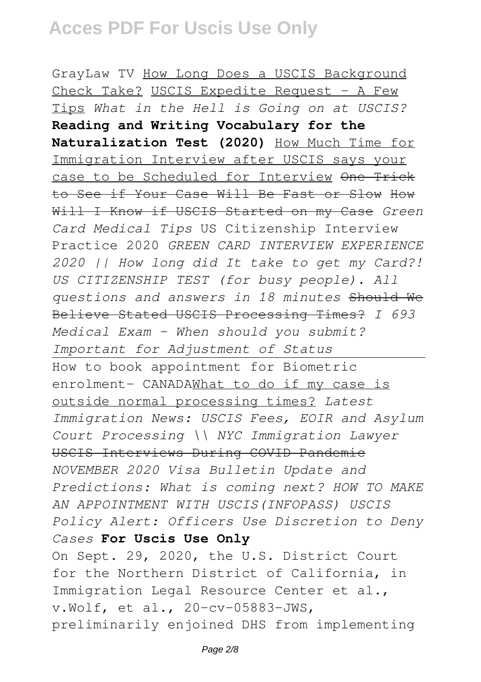GrayLaw TV How Long Does a USCIS Background Check Take? USCIS Expedite Request - A Few Tips *What in the Hell is Going on at USCIS?* **Reading and Writing Vocabulary for the Naturalization Test (2020)** How Much Time for Immigration Interview after USCIS says your case to be Scheduled for Interview One Trick to See if Your Case Will Be Fast or Slow How Will I Know if USCIS Started on my Case *Green Card Medical Tips* US Citizenship Interview Practice 2020 *GREEN CARD INTERVIEW EXPERIENCE 2020 || How long did It take to get my Card?! US CITIZENSHIP TEST (for busy people). All questions and answers in 18 minutes* Should We Believe Stated USCIS Processing Times? *I 693 Medical Exam - When should you submit? Important for Adjustment of Status* How to book appointment for Biometric enrolment- CANADAWhat to do if my case is outside normal processing times? *Latest Immigration News: USCIS Fees, EOIR and Asylum Court Processing \\ NYC Immigration Lawyer* USCIS Interviews During COVID Pandemic *NOVEMBER 2020 Visa Bulletin Update and Predictions: What is coming next? HOW TO MAKE AN APPOINTMENT WITH USCIS(INFOPASS) USCIS Policy Alert: Officers Use Discretion to Deny Cases* **For Uscis Use Only** On Sept. 29, 2020, the U.S. District Court for the Northern District of California, in Immigration Legal Resource Center et al., v.Wolf, et al., 20-cv-05883-JWS, preliminarily enjoined DHS from implementing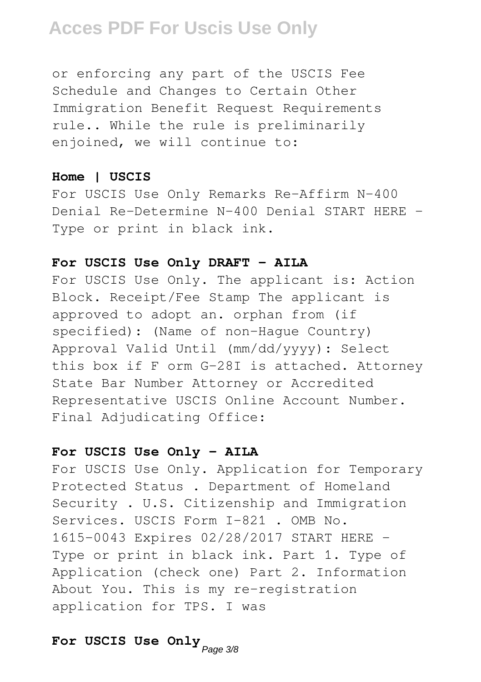or enforcing any part of the USCIS Fee Schedule and Changes to Certain Other Immigration Benefit Request Requirements rule.. While the rule is preliminarily enjoined, we will continue to:

#### **Home | USCIS**

For USCIS Use Only Remarks Re-Affirm N-400 Denial Re-Determine N-400 Denial START HERE - Type or print in black ink.

#### **For USCIS Use Only DRAFT - AILA**

For USCIS Use Only. The applicant is: Action Block. Receipt/Fee Stamp The applicant is approved to adopt an. orphan from (if specified): (Name of non-Hague Country) Approval Valid Until (mm/dd/yyyy): Select this box if F orm G-28I is attached. Attorney State Bar Number Attorney or Accredited Representative USCIS Online Account Number. Final Adjudicating Office:

#### **For USCIS Use Only - AILA**

For USCIS Use Only. Application for Temporary Protected Status . Department of Homeland Security . U.S. Citizenship and Immigration Services. USCIS Form I-821 . OMB No. 1615-0043 Expires 02/28/2017 START HERE - Type or print in black ink. Part 1. Type of Application (check one) Part 2. Information About You. This is my re-registration application for TPS. I was

## **For USCIS Use Only** Page 3/8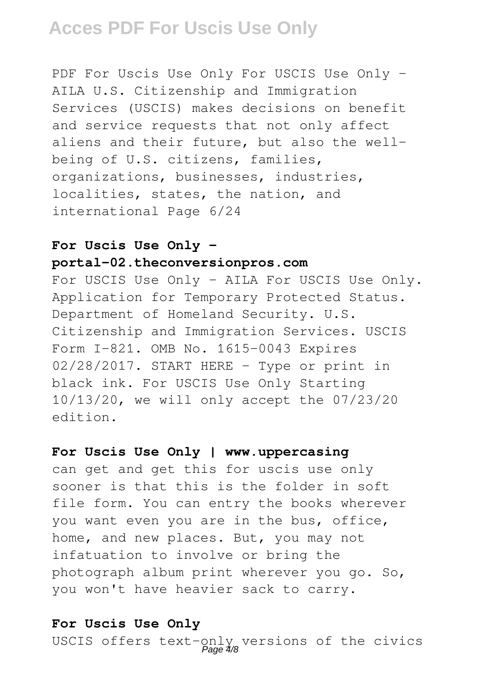PDF For Uscis Use Only For USCIS Use Only -AILA U.S. Citizenship and Immigration Services (USCIS) makes decisions on benefit and service requests that not only affect aliens and their future, but also the wellbeing of U.S. citizens, families, organizations, businesses, industries, localities, states, the nation, and international Page 6/24

### **For Uscis Use Only -**

### **portal-02.theconversionpros.com**

For USCIS Use Only - AILA For USCIS Use Only. Application for Temporary Protected Status. Department of Homeland Security. U.S. Citizenship and Immigration Services. USCIS Form I-821. OMB No. 1615-0043 Expires 02/28/2017. START HERE - Type or print in black ink. For USCIS Use Only Starting 10/13/20, we will only accept the 07/23/20 edition.

#### **For Uscis Use Only | www.uppercasing**

can get and get this for uscis use only sooner is that this is the folder in soft file form. You can entry the books wherever you want even you are in the bus, office, home, and new places. But, you may not infatuation to involve or bring the photograph album print wherever you go. So, you won't have heavier sack to carry.

#### **For Uscis Use Only**

USCIS offers text-only versions of the civics Page 4/8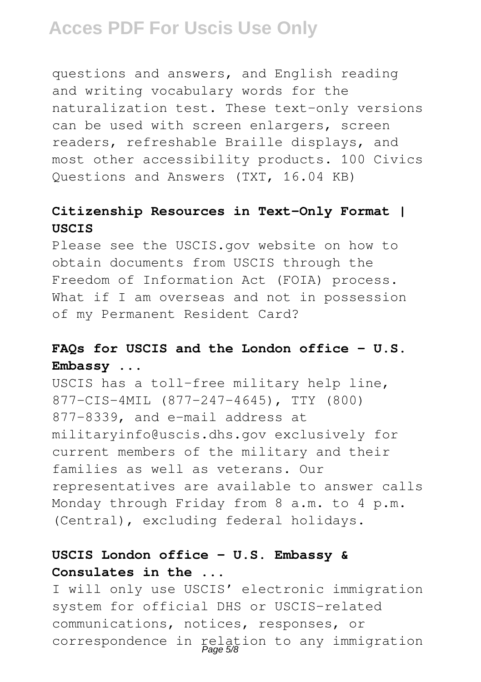questions and answers, and English reading and writing vocabulary words for the naturalization test. These text-only versions can be used with screen enlargers, screen readers, refreshable Braille displays, and most other accessibility products. 100 Civics Questions and Answers (TXT, 16.04 KB)

### **Citizenship Resources in Text-Only Format | USCIS**

Please see the USCIS.gov website on how to obtain documents from USCIS through the Freedom of Information Act (FOIA) process. What if I am overseas and not in possession of my Permanent Resident Card?

### **FAQs for USCIS and the London office - U.S. Embassy ...**

USCIS has a toll-free military help line, 877-CIS-4MIL (877-247-4645), TTY (800) 877-8339, and e-mail address at militaryinfo@uscis.dhs.gov exclusively for current members of the military and their families as well as veterans. Our representatives are available to answer calls Monday through Friday from 8 a.m. to 4 p.m. (Central), excluding federal holidays.

### **USCIS London office - U.S. Embassy & Consulates in the ...**

I will only use USCIS' electronic immigration system for official DHS or USCIS-related communications, notices, responses, or correspondence in relation to any immigration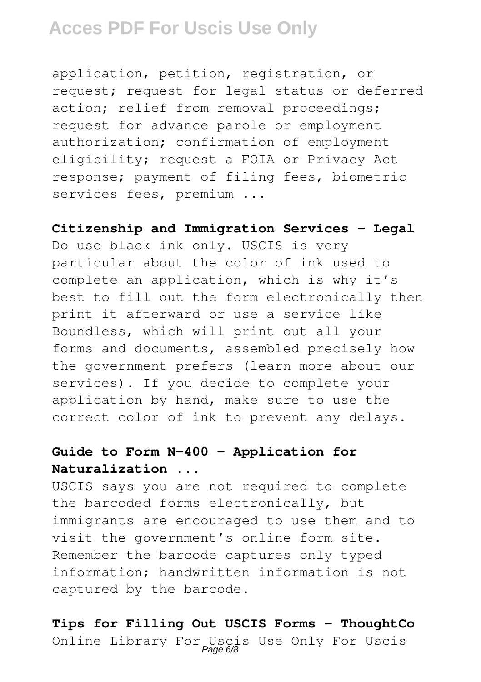application, petition, registration, or request; request for legal status or deferred action; relief from removal proceedings; request for advance parole or employment authorization; confirmation of employment eligibility; request a FOIA or Privacy Act response; payment of filing fees, biometric services fees, premium ...

#### **Citizenship and Immigration Services - Legal**

Do use black ink only. USCIS is very particular about the color of ink used to complete an application, which is why it's best to fill out the form electronically then print it afterward or use a service like Boundless, which will print out all your forms and documents, assembled precisely how the government prefers (learn more about our services). If you decide to complete your application by hand, make sure to use the correct color of ink to prevent any delays.

### **Guide to Form N-400 - Application for Naturalization ...**

USCIS says you are not required to complete the barcoded forms electronically, but immigrants are encouraged to use them and to visit the government's online form site. Remember the barcode captures only typed information; handwritten information is not captured by the barcode.

## **Tips for Filling Out USCIS Forms - ThoughtCo** Online Library For Uscis Use Only For Uscis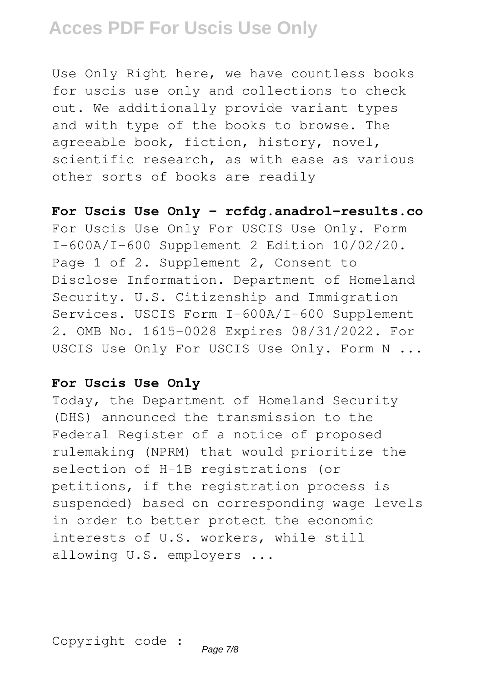Use Only Right here, we have countless books for uscis use only and collections to check out. We additionally provide variant types and with type of the books to browse. The agreeable book, fiction, history, novel, scientific research, as with ease as various other sorts of books are readily

**For Uscis Use Only - rcfdg.anadrol-results.co** For Uscis Use Only For USCIS Use Only. Form I-600A/I-600 Supplement 2 Edition 10/02/20. Page 1 of 2. Supplement 2, Consent to Disclose Information. Department of Homeland Security. U.S. Citizenship and Immigration Services. USCIS Form I-600A/I-600 Supplement 2. OMB No. 1615-0028 Expires 08/31/2022. For USCIS Use Only For USCIS Use Only. Form N ...

#### **For Uscis Use Only**

Today, the Department of Homeland Security (DHS) announced the transmission to the Federal Register of a notice of proposed rulemaking (NPRM) that would prioritize the selection of H-1B registrations (or petitions, if the registration process is suspended) based on corresponding wage levels in order to better protect the economic interests of U.S. workers, while still allowing U.S. employers ...